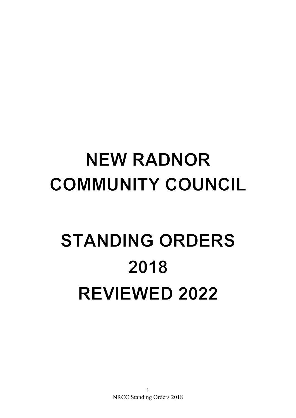# **NEW RADNOR COMMUNITY COUNCIL**

# **STANDING ORDERS** 2018 **REVIEWED 2022**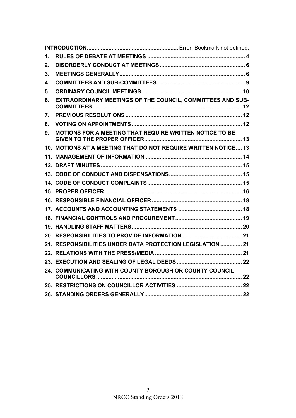| 1. |                                                                |  |
|----|----------------------------------------------------------------|--|
| 2. |                                                                |  |
| 3. |                                                                |  |
| 4. |                                                                |  |
| 5. |                                                                |  |
| 6. | EXTRAORDINARY MEETINGS OF THE COUNCIL, COMMITTEES AND SUB-     |  |
| 7. |                                                                |  |
| 8. |                                                                |  |
| 9. | <b>MOTIONS FOR A MEETING THAT REQUIRE WRITTEN NOTICE TO BE</b> |  |
|    | 10. MOTIONS AT A MEETING THAT DO NOT REQUIRE WRITTEN NOTICE 13 |  |
|    |                                                                |  |
|    |                                                                |  |
|    |                                                                |  |
|    |                                                                |  |
|    |                                                                |  |
|    |                                                                |  |
|    |                                                                |  |
|    |                                                                |  |
|    |                                                                |  |
|    |                                                                |  |
|    | 21. RESPONSIBILITIES UNDER DATA PROTECTION LEGISLATION  21     |  |
|    |                                                                |  |
|    |                                                                |  |
|    | 24. COMMUNICATING WITH COUNTY BOROUGH OR COUNTY COUNCIL        |  |
|    |                                                                |  |
|    |                                                                |  |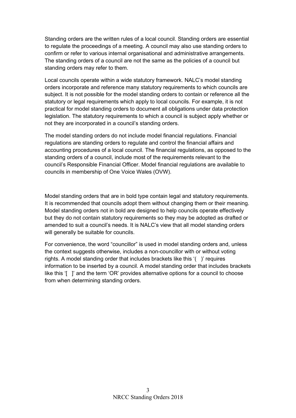Standing orders are the written rules of a local council. Standing orders are essential to regulate the proceedings of a meeting. A council may also use standing orders to confirm or refer to various internal organisational and administrative arrangements. The standing orders of a council are not the same as the policies of a council but standing orders may refer to them.

Local councils operate within a wide statutory framework. NALC's model standing orders incorporate and reference many statutory requirements to which councils are subject. It is not possible for the model standing orders to contain or reference all the statutory or legal requirements which apply to local councils. For example, it is not practical for model standing orders to document all obligations under data protection legislation. The statutory requirements to which a council is subject apply whether or not they are incorporated in a council's standing orders.

The model standing orders do not include model financial regulations. Financial regulations are standing orders to regulate and control the financial affairs and accounting procedures of a local council. The financial regulations, as opposed to the standing orders of a council, include most of the requirements relevant to the council's Responsible Financial Officer. Model financial regulations are available to councils in membership of One Voice Wales (OVW).

Model standing orders that are in bold type contain legal and statutory requirements. It is recommended that councils adopt them without changing them or their meaning. Model standing orders not in bold are designed to help councils operate effectively but they do not contain statutory requirements so they may be adopted as drafted or amended to suit a council's needs. It is NALC's view that all model standing orders will generally be suitable for councils.

For convenience, the word "councillor" is used in model standing orders and, unless the context suggests otherwise, includes a non-councillor with or without voting rights. A model standing order that includes brackets like this '( )' requires information to be inserted by a council. A model standing order that includes brackets like this '[ ]' and the term 'OR' provides alternative options for a council to choose from when determining standing orders.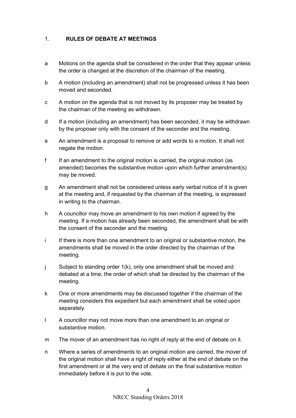# <span id="page-3-0"></span>1. **RULES OF DEBATE AT MEETINGS**

- a Motions on the agenda shall be considered in the order that they appear unless the order is changed at the discretion of the chairman of the meeting.
- b A motion (including an amendment) shall not be progressed unless it has been moved and seconded.
- c A motion on the agenda that is not moved by its proposer may be treated by the chairman of the meeting as withdrawn.
- d If a motion (including an amendment) has been seconded, it may be withdrawn by the proposer only with the consent of the seconder and the meeting.
- e An amendment is a proposal to remove or add words to a motion. It shall not negate the motion.
- f If an amendment to the original motion is carried, the original motion (as amended) becomes the substantive motion upon which further amendment(s) may be moved.
- g An amendment shall not be considered unless early verbal notice of it is given at the meeting and, if requested by the chairman of the meeting, is expressed in writing to the chairman.
- h A councillor may move an amendment to his own motion if agreed by the meeting. If a motion has already been seconded, the amendment shall be with the consent of the seconder and the meeting.
- i If there is more than one amendment to an original or substantive motion, the amendments shall be moved in the order directed by the chairman of the meeting.
- j Subject to standing order 1(k), only one amendment shall be moved and debated at a time, the order of which shall be directed by the chairman of the meeting.
- k One or more amendments may be discussed together if the chairman of the meeting considers this expedient but each amendment shall be voted upon separately.
- l A councillor may not move more than one amendment to an original or substantive motion.
- m The mover of an amendment has no right of reply at the end of debate on it.
- n Where a series of amendments to an original motion are carried, the mover of the original motion shall have a right of reply either at the end of debate on the first amendment or at the very end of debate on the final substantive motion immediately before it is put to the vote.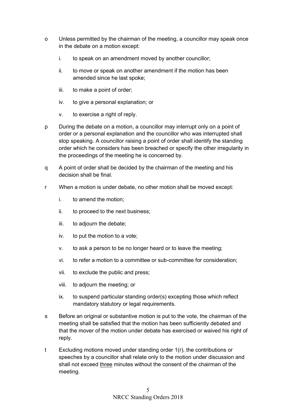- o Unless permitted by the chairman of the meeting, a councillor may speak once in the debate on a motion except:
	- i. to speak on an amendment moved by another councillor;
	- ii. to move or speak on another amendment if the motion has been amended since he last spoke;
	- iii. to make a point of order;
	- iv. to give a personal explanation; or
	- v. to exercise a right of reply.
- p During the debate on a motion, a councillor may interrupt only on a point of order or a personal explanation and the councillor who was interrupted shall stop speaking. A councillor raising a point of order shall identify the standing order which he considers has been breached or specify the other irregularity in the proceedings of the meeting he is concerned by.
- q A point of order shall be decided by the chairman of the meeting and his decision shall be final.
- r When a motion is under debate, no other motion shall be moved except:
	- i. to amend the motion;
	- ii. to proceed to the next business;
	- iii. to adjourn the debate;
	- iv. to put the motion to a vote;
	- v. to ask a person to be no longer heard or to leave the meeting;
	- vi. to refer a motion to a committee or sub-committee for consideration;
	- vii. to exclude the public and press;
	- viii. to adjourn the meeting; or
	- ix. to suspend particular standing order(s) excepting those which reflect mandatory statutory or legal requirements.
- s Before an original or substantive motion is put to the vote, the chairman of the meeting shall be satisfied that the motion has been sufficiently debated and that the mover of the motion under debate has exercised or waived his right of reply.
- t Excluding motions moved under standing order 1(r), the contributions or speeches by a councillor shall relate only to the motion under discussion and shall not exceed three minutes without the consent of the chairman of the meeting.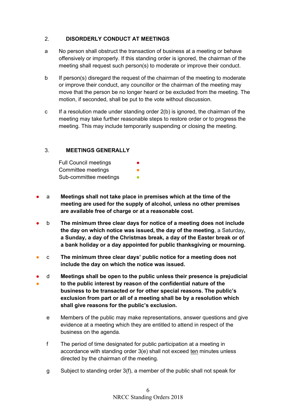#### <span id="page-5-0"></span>2. **DISORDERLY CONDUCT AT MEETINGS**

- a No person shall obstruct the transaction of business at a meeting or behave offensively or improperly. If this standing order is ignored, the chairman of the meeting shall request such person(s) to moderate or improve their conduct.
- b If person(s) disregard the request of the chairman of the meeting to moderate or improve their conduct, any councillor or the chairman of the meeting may move that the person be no longer heard or be excluded from the meeting. The motion, if seconded, shall be put to the vote without discussion.
- c If a resolution made under standing order  $2(b)$  is ignored, the chairman of the meeting may take further reasonable steps to restore order or to progress the meeting. This may include temporarily suspending or closing the meeting.

#### <span id="page-5-1"></span>3. **MEETINGS GENERALLY**

| <b>Full Council meetings</b> |  |
|------------------------------|--|
| Committee meetings           |  |
| Sub-committee meetings       |  |

- a **Meetings shall not take place in premises which at the time of the meeting are used for the supply of alcohol, unless no other premises are available free of charge or at a reasonable cost.**
- b **The minimum three clear days for notice of a meeting does not include the day on which notice was issued, the day of the meeting**, a Saturday**, a Sunday, a day of the Christmas break, a day of the Easter break or of a bank holiday or a day appointed for public thanksgiving or mourning.**
- c **The minimum three clear days' public notice for a meeting does not include the day on which the notice was issued.**
- ● d **Meetings shall be open to the public unless their presence is prejudicial to the public interest by reason of the confidential nature of the business to be transacted or for other special reasons. The public's exclusion from part or all of a meeting shall be by a resolution which shall give reasons for the public's exclusion.**
	- e Members of the public may make representations, answer questions and give evidence at a meeting which they are entitled to attend in respect of the business on the agenda.
	- f The period of time designated for public participation at a meeting in accordance with standing order 3(e) shall not exceed ten minutes unless directed by the chairman of the meeting.
	- g Subject to standing order 3(f), a member of the public shall not speak for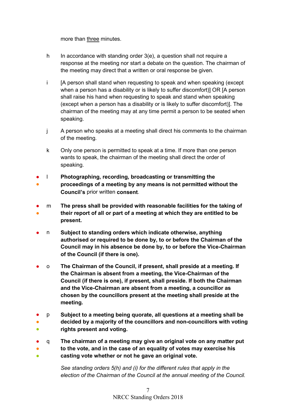more than three minutes.

- h In accordance with standing order 3(e), a question shall not require a response at the meeting nor start a debate on the question. The chairman of the meeting may direct that a written or oral response be given.
- i [A person shall stand when requesting to speak and when speaking (except when a person has a disability or is likely to suffer discomfort)] OR [A person shall raise his hand when requesting to speak and stand when speaking (except when a person has a disability or is likely to suffer discomfort)]. The chairman of the meeting may at any time permit a person to be seated when speaking.
- j A person who speaks at a meeting shall direct his comments to the chairman of the meeting.
- k Only one person is permitted to speak at a time. If more than one person wants to speak, the chairman of the meeting shall direct the order of speaking.
- ● l **Photographing, recording, broadcasting or transmitting the proceedings of a meeting by any means is not permitted without the Council's** prior written **consent**.
- ● m **The press shall be provided with reasonable facilities for the taking of their report of all or part of a meeting at which they are entitled to be present.**
- n Subject to standing orders which indicate otherwise, anything **authorised or required to be done by, to or before the Chairman of the Council may in his absence be done by, to or before the Vice-Chairman of the Council (if there is one).**
- o **The Chairman of the Council, if present, shall preside at a meeting. If the Chairman is absent from a meeting, the Vice-Chairman of the Council (if there is one), if present, shall preside. If both the Chairman and the Vice-Chairman are absent from a meeting, a councillor as chosen by the councillors present at the meeting shall preside at the meeting.**
- ● ● p **Subject to a meeting being quorate, all questions at a meeting shall be decided by a majority of the councillors and non-councillors with voting rights present and voting.**
- ● ● q **The chairman of a meeting may give an original vote on any matter put to the vote, and in the case of an equality of votes may exercise his casting vote whether or not he gave an original vote.**

*See standing orders 5(h) and (i) for the different rules that apply in the election of the Chairman of the Council at the annual meeting of the Council.*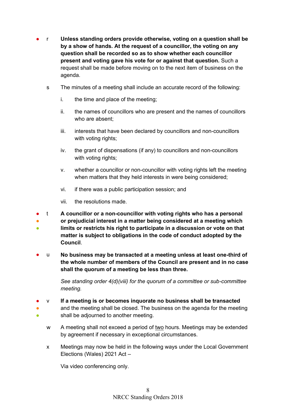- r **Unless standing orders provide otherwise, voting on a question shall be by a show of hands. At the request of a councillor, the voting on any question shall be recorded so as to show whether each councillor present and voting gave his vote for or against that question.** Such a request shall be made before moving on to the next item of business on the agenda.
	- s The minutes of a meeting shall include an accurate record of the following:
		- i. the time and place of the meeting;
		- ii. the names of councillors who are present and the names of councillors who are absent;
		- iii. interests that have been declared by councillors and non-councillors with voting rights;
		- iv. the grant of dispensations (if any) to councillors and non-councillors with voting rights;
		- v. whether a councillor or non-councillor with voting rights left the meeting when matters that they held interests in were being considered;
		- vi. if there was a public participation session; and
		- vii. the resolutions made.
- t **A councillor or a non-councillor with voting rights who has a personal**
- ● **or prejudicial interest in a matter being considered at a meeting which limits or restricts his right to participate in a discussion or vote on that matter is subject to obligations in the code of conduct adopted by the Council**.
- u **No business may be transacted at a meeting unless at least one-third of the whole number of members of the Council are present and in no case shall the quorum of a meeting be less than three.**

*See standing order 4(d)(viii) for the quorum of a committee or sub-committee meeting.* 

- v **If a meeting is or becomes inquorate no business shall be transacted**
- ● and the meeting shall be closed. The business on the agenda for the meeting shall be adjourned to another meeting.
	- w A meeting shall not exceed a period of two hours. Meetings may be extended by agreement if necessary in exceptional circumstances.
	- x Meetings may now be held in the following ways under the Local Government Elections (Wales) 2021 Act –

Via video conferencing only.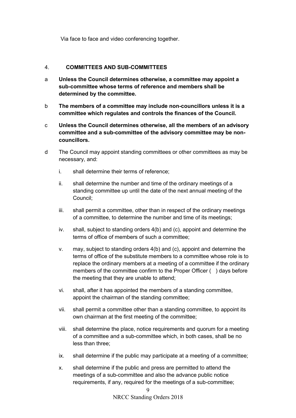Via face to face and video conferencing together.

#### <span id="page-8-0"></span>4. **COMMITTEES AND SUB-COMMITTEES**

- a **Unless the Council determines otherwise, a committee may appoint a sub-committee whose terms of reference and members shall be determined by the committee.**
- b **The members of a committee may include non-councillors unless it is a committee which regulates and controls the finances of the Council.**
- c **Unless the Council determines otherwise, all the members of an advisory committee and a sub-committee of the advisory committee may be noncouncillors.**
- d The Council may appoint standing committees or other committees as may be necessary, and:
	- i. shall determine their terms of reference;
	- ii. shall determine the number and time of the ordinary meetings of a standing committee up until the date of the next annual meeting of the Council;
	- iii. shall permit a committee, other than in respect of the ordinary meetings of a committee, to determine the number and time of its meetings;
	- iv. shall, subject to standing orders 4(b) and (c), appoint and determine the terms of office of members of such a committee;
	- v. may, subject to standing orders 4(b) and (c), appoint and determine the terms of office of the substitute members to a committee whose role is to replace the ordinary members at a meeting of a committee if the ordinary members of the committee confirm to the Proper Officer ( ) days before the meeting that they are unable to attend;
	- vi. shall, after it has appointed the members of a standing committee, appoint the chairman of the standing committee;
	- vii. shall permit a committee other than a standing committee, to appoint its own chairman at the first meeting of the committee;
	- viii. shall determine the place, notice requirements and quorum for a meeting of a committee and a sub-committee which, in both cases, shall be no less than three;
	- ix. shall determine if the public may participate at a meeting of a committee;
	- x. shall determine if the public and press are permitted to attend the meetings of a sub-committee and also the advance public notice requirements, if any, required for the meetings of a sub-committee;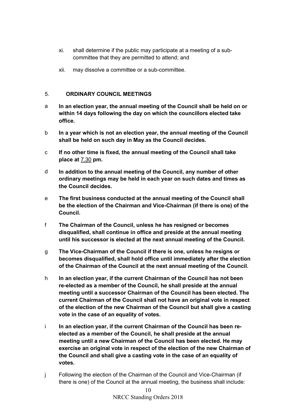- xi. shall determine if the public may participate at a meeting of a subcommittee that they are permitted to attend; and
- xii. may dissolve a committee or a sub-committee.

#### <span id="page-9-0"></span>5. **ORDINARY COUNCIL MEETINGS**

- a **In an election year, the annual meeting of the Council shall be held on or within 14 days following the day on which the councillors elected take office.**
- b **In a year which is not an election year, the annual meeting of the Council shall be held on such day in May as the Council decides.**
- c **If no other time is fixed, the annual meeting of the Council shall take place at** 7.30 **pm.**
- d **In addition to the annual meeting of the Council, any number of other ordinary meetings may be held in each year on such dates and times as the Council decides.**
- e **The first business conducted at the annual meeting of the Council shall be the election of the Chairman and Vice-Chairman (if there is one) of the Council.**
- f **The Chairman of the Council, unless he has resigned or becomes disqualified, shall continue in office and preside at the annual meeting until his successor is elected at the next annual meeting of the Council.**
- g **The Vice-Chairman of the Council if there is one, unless he resigns or becomes disqualified, shall hold office until immediately after the election of the Chairman of the Council at the next annual meeting of the Council.**
- h **In an election year, if the current Chairman of the Council has not been re-elected as a member of the Council, he shall preside at the annual meeting until a successor Chairman of the Council has been elected. The current Chairman of the Council shall not have an original vote in respect of the election of the new Chairman of the Council but shall give a casting vote in the case of an equality of votes.**
- i **In an election year, if the current Chairman of the Council has been reelected as a member of the Council, he shall preside at the annual meeting until a new Chairman of the Council has been elected. He may exercise an original vote in respect of the election of the new Chairman of the Council and shall give a casting vote in the case of an equality of votes.**
- j Following the election of the Chairman of the Council and Vice-Chairman (if there is one) of the Council at the annual meeting, the business shall include: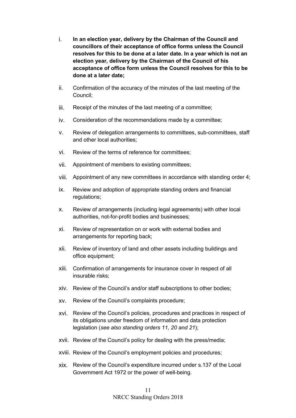- i. **In an election year, delivery by the Chairman of the Council and councillors of their acceptance of office forms unless the Council resolves for this to be done at a later date. In a year which is not an election year, delivery by the Chairman of the Council of his acceptance of office form unless the Council resolves for this to be done at a later date;**
- ii. Confirmation of the accuracy of the minutes of the last meeting of the Council;
- iii. Receipt of the minutes of the last meeting of a committee;
- iv. Consideration of the recommendations made by a committee;
- v. Review of delegation arrangements to committees, sub-committees, staff and other local authorities;
- vi. Review of the terms of reference for committees;
- vii. Appointment of members to existing committees;
- viii. Appointment of any new committees in accordance with standing order 4;
- ix. Review and adoption of appropriate standing orders and financial regulations;
- x. Review of arrangements (including legal agreements) with other local authorities, not-for-profit bodies and businesses;
- xi. Review of representation on or work with external bodies and arrangements for reporting back;
- xii. Review of inventory of land and other assets including buildings and office equipment;
- xiii. Confirmation of arrangements for insurance cover in respect of all insurable risks;
- xiv. Review of the Council's and/or staff subscriptions to other bodies;
- xv. Review of the Council's complaints procedure;
- xvi. Review of the Council's policies, procedures and practices in respect of its obligations under freedom of information and data protection legislation (*see also standing orders 11, 20 and 21*);
- xvii. Review of the Council's policy for dealing with the press/media;
- xviii. Review of the Council's employment policies and procedures;
- xix. Review of the Council's expenditure incurred under s.137 of the Local Government Act 1972 or the power of well-being.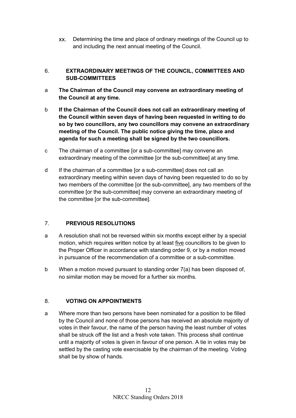xx. Determining the time and place of ordinary meetings of the Council up to and including the next annual meeting of the Council.

# <span id="page-11-0"></span>6. **EXTRAORDINARY MEETINGS OF THE COUNCIL, COMMITTEES AND SUB-COMMITTEES**

- a **The Chairman of the Council may convene an extraordinary meeting of the Council at any time.**
- b **If the Chairman of the Council does not call an extraordinary meeting of the Council within seven days of having been requested in writing to do so by two councillors, any two councillors may convene an extraordinary meeting of the Council. The public notice giving the time, place and agenda for such a meeting shall be signed by the two councillors.**
- c The chairman of a committee [or a sub-committee] may convene an extraordinary meeting of the committee [or the sub-committee] at any time.
- d If the chairman of a committee [or a sub-committee] does not call an extraordinary meeting within seven days of having been requested to do so by two members of the committee [or the sub-committee], any two members of the committee [or the sub-committee] may convene an extraordinary meeting of the committee [or the sub-committee].

# <span id="page-11-1"></span>7. **PREVIOUS RESOLUTIONS**

- a A resolution shall not be reversed within six months except either by a special motion, which requires written notice by at least five councillors to be given to the Proper Officer in accordance with standing order 9, or by a motion moved in pursuance of the recommendation of a committee or a sub-committee.
- b When a motion moved pursuant to standing order 7(a) has been disposed of, no similar motion may be moved for a further six months.

# <span id="page-11-2"></span>8. **VOTING ON APPOINTMENTS**

a Where more than two persons have been nominated for a position to be filled by the Council and none of those persons has received an absolute majority of votes in their favour, the name of the person having the least number of votes shall be struck off the list and a fresh vote taken. This process shall continue until a majority of votes is given in favour of one person. A tie in votes may be settled by the casting vote exercisable by the chairman of the meeting. Voting shall be by show of hands.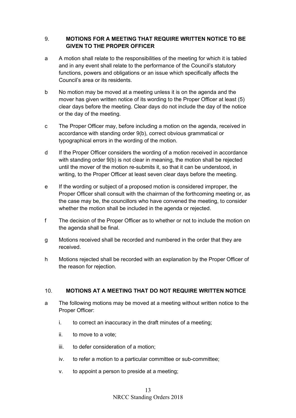#### <span id="page-12-0"></span>9. **MOTIONS FOR A MEETING THAT REQUIRE WRITTEN NOTICE TO BE GIVEN TO THE PROPER OFFICER**

- a A motion shall relate to the responsibilities of the meeting for which it is tabled and in any event shall relate to the performance of the Council's statutory functions, powers and obligations or an issue which specifically affects the Council's area or its residents.
- b No motion may be moved at a meeting unless it is on the agenda and the mover has given written notice of its wording to the Proper Officer at least (5) clear days before the meeting. Clear days do not include the day of the notice or the day of the meeting.
- c The Proper Officer may, before including a motion on the agenda, received in accordance with standing order 9(b), correct obvious grammatical or typographical errors in the wording of the motion.
- d If the Proper Officer considers the wording of a motion received in accordance with standing order 9(b) is not clear in meaning, the motion shall be rejected until the mover of the motion re-submits it, so that it can be understood, in writing, to the Proper Officer at least seven clear days before the meeting.
- e If the wording or subject of a proposed motion is considered improper, the Proper Officer shall consult with the chairman of the forthcoming meeting or, as the case may be, the councillors who have convened the meeting, to consider whether the motion shall be included in the agenda or rejected.
- f The decision of the Proper Officer as to whether or not to include the motion on the agenda shall be final.
- g Motions received shall be recorded and numbered in the order that they are received.
- h Motions rejected shall be recorded with an explanation by the Proper Officer of the reason for rejection.

# <span id="page-12-1"></span>10. **MOTIONS AT A MEETING THAT DO NOT REQUIRE WRITTEN NOTICE**

- a The following motions may be moved at a meeting without written notice to the Proper Officer:
	- i. to correct an inaccuracy in the draft minutes of a meeting;
	- ii. to move to a vote;
	- iii. to defer consideration of a motion;
	- iv. to refer a motion to a particular committee or sub-committee;
	- v. to appoint a person to preside at a meeting;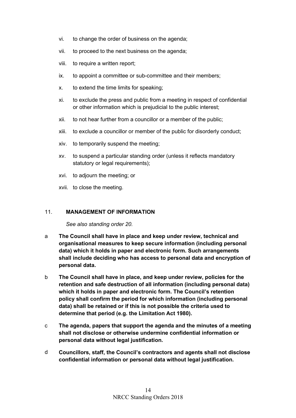- vi. to change the order of business on the agenda;
- vii. to proceed to the next business on the agenda;
- viii. to require a written report;
- ix. to appoint a committee or sub-committee and their members;
- x. to extend the time limits for speaking;
- xi. to exclude the press and public from a meeting in respect of confidential or other information which is prejudicial to the public interest;
- xii. to not hear further from a councillor or a member of the public;
- xiii. to exclude a councillor or member of the public for disorderly conduct;
- xiv. to temporarily suspend the meeting;
- xv. to suspend a particular standing order (unless it reflects mandatory statutory or legal requirements):
- xvi. to adjourn the meeting; or
- xvii. to close the meeting.

#### <span id="page-13-0"></span>11. **MANAGEMENT OF INFORMATION**

*See also standing order 20.*

- a **The Council shall have in place and keep under review, technical and organisational measures to keep secure information (including personal data) which it holds in paper and electronic form. Such arrangements shall include deciding who has access to personal data and encryption of personal data.**
- b **The Council shall have in place, and keep under review, policies for the retention and safe destruction of all information (including personal data) which it holds in paper and electronic form. The Council's retention policy shall confirm the period for which information (including personal data) shall be retained or if this is not possible the criteria used to determine that period (e.g. the Limitation Act 1980).**
- c **The agenda, papers that support the agenda and the minutes of a meeting shall not disclose or otherwise undermine confidential information or personal data without legal justification.**
- d **Councillors, staff, the Council's contractors and agents shall not disclose confidential information or personal data without legal justification.**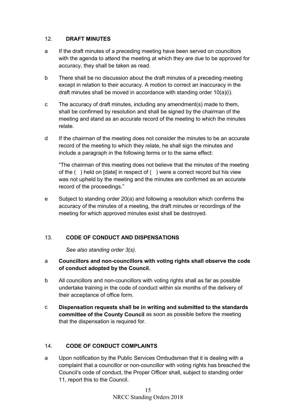#### <span id="page-14-0"></span>12. **DRAFT MINUTES**

- a If the draft minutes of a preceding meeting have been served on councillors with the agenda to attend the meeting at which they are due to be approved for accuracy, they shall be taken as read.
- b There shall be no discussion about the draft minutes of a preceding meeting except in relation to their accuracy. A motion to correct an inaccuracy in the draft minutes shall be moved in accordance with standing order 10(a)(i).
- c The accuracy of draft minutes, including any amendment(s) made to them, shall be confirmed by resolution and shall be signed by the chairman of the meeting and stand as an accurate record of the meeting to which the minutes relate.
- d If the chairman of the meeting does not consider the minutes to be an accurate record of the meeting to which they relate, he shall sign the minutes and include a paragraph in the following terms or to the same effect:

"The chairman of this meeting does not believe that the minutes of the meeting of the ( ) held on [date] in respect of ( ) were a correct record but his view was not upheld by the meeting and the minutes are confirmed as an accurate record of the proceedings."

e Subject to standing order 20(a) and following a resolution which confirms the accuracy of the minutes of a meeting, the draft minutes or recordings of the meeting for which approved minutes exist shall be destroyed.

# <span id="page-14-1"></span>13. **CODE OF CONDUCT AND DISPENSATIONS**

*See also standing order 3(s).*

# a **Councillors and non-councillors with voting rights shall observe the code of conduct adopted by the Council.**

- b All councillors and non-councillors with voting rights shall as far as possible undertake training in the code of conduct within six months of the delivery of their acceptance of office form.
- c **Dispensation requests shall be in writing and submitted to the standards committee of the County Council** as soon as possible before the meeting that the dispensation is required for.

# <span id="page-14-2"></span>14. **CODE OF CONDUCT COMPLAINTS**

a Upon notification by the Public Services Ombudsman that it is dealing with a complaint that a councillor or non-councillor with voting rights has breached the Council's code of conduct, the Proper Officer shall, subject to standing order 11, report this to the Council.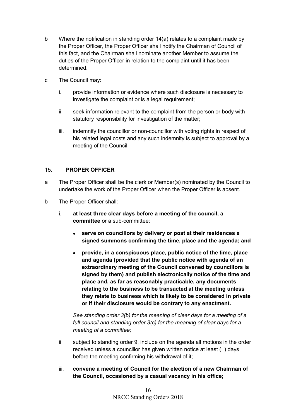- b Where the notification in standing order 14(a) relates to a complaint made by the Proper Officer, the Proper Officer shall notify the Chairman of Council of this fact, and the Chairman shall nominate another Member to assume the duties of the Proper Officer in relation to the complaint until it has been determined.
- c The Council may:
	- i. provide information or evidence where such disclosure is necessary to investigate the complaint or is a legal requirement;
	- ii. seek information relevant to the complaint from the person or body with statutory responsibility for investigation of the matter;
	- iii. indemnify the councillor or non-councillor with voting rights in respect of his related legal costs and any such indemnity is subject to approval by a meeting of the Council.

#### <span id="page-15-0"></span>15. **PROPER OFFICER**

- a The Proper Officer shall be the clerk or Member(s) nominated by the Council to undertake the work of the Proper Officer when the Proper Officer is absent.
- b The Proper Officer shall:
	- i. **at least three clear days before a meeting of the council, a committee** or a sub-committee:
		- **serve on councillors by delivery or post at their residences a signed summons confirming the time, place and the agenda; and**
		- **provide, in a conspicuous place, public notice of the time, place and agenda (provided that the public notice with agenda of an extraordinary meeting of the Council convened by councillors is signed by them) and publish electronically notice of the time and place and, as far as reasonably practicable, any documents relating to the business to be transacted at the meeting unless they relate to business which is likely to be considered in private or if their disclosure would be contrary to any enactment.**

*See standing order 3(b) for the meaning of clear days for a meeting of a full council and standing order 3(c) for the meaning of clear days for a meeting of a committee;*

- ii. subject to standing order 9, include on the agenda all motions in the order received unless a councillor has given written notice at least ( ) days before the meeting confirming his withdrawal of it;
- iii. **convene a meeting of Council for the election of a new Chairman of the Council, occasioned by a casual vacancy in his office;**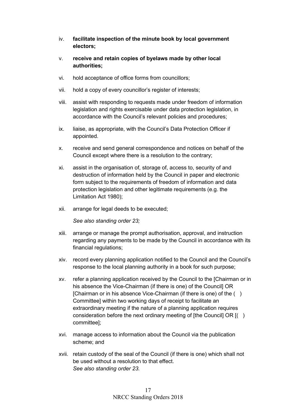- iv. **facilitate inspection of the minute book by local government electors;**
- v. **receive and retain copies of byelaws made by other local authorities;**
- vi. hold acceptance of office forms from councillors;
- vii. hold a copy of every councillor's register of interests;
- viii. assist with responding to requests made under freedom of information legislation and rights exercisable under data protection legislation, in accordance with the Council's relevant policies and procedures;
- ix. liaise, as appropriate, with the Council's Data Protection Officer if appointed.
- x. receive and send general correspondence and notices on behalf of the Council except where there is a resolution to the contrary;
- xi. assist in the organisation of, storage of, access to, security of and destruction of information held by the Council in paper and electronic form subject to the requirements of freedom of information and data protection legislation and other legitimate requirements (e.g. the Limitation Act 1980);
- xii. arrange for legal deeds to be executed;

*See also standing order 23;*

- xiii. arrange or manage the prompt authorisation, approval, and instruction regarding any payments to be made by the Council in accordance with its financial regulations;
- xiv. record every planning application notified to the Council and the Council's response to the local planning authority in a book for such purpose;
- xv. refer a planning application received by the Council to the [Chairman or in his absence the Vice-Chairman (if there is one) of the Council] OR [Chairman or in his absence Vice-Chairman (if there is one) of the ( ) Committee] within two working days of receipt to facilitate an extraordinary meeting if the nature of a planning application requires consideration before the next ordinary meeting of [the Council] OR [( ) committee];
- xvi. manage access to information about the Council via the publication scheme; and
- xvii. retain custody of the seal of the Council (if there is one) which shall not be used without a resolution to that effect. *See also standing order 23.*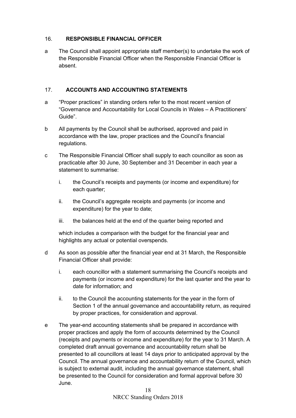#### <span id="page-17-0"></span>16. **RESPONSIBLE FINANCIAL OFFICER**

a The Council shall appoint appropriate staff member(s) to undertake the work of the Responsible Financial Officer when the Responsible Financial Officer is absent.

#### <span id="page-17-1"></span>17. **ACCOUNTS AND ACCOUNTING STATEMENTS**

- a "Proper practices" in standing orders refer to the most recent version of "Governance and Accountability for Local Councils in Wales – A Practitioners' Guide".
- b All payments by the Council shall be authorised, approved and paid in accordance with the law, proper practices and the Council's financial regulations.
- c The Responsible Financial Officer shall supply to each councillor as soon as practicable after 30 June, 30 September and 31 December in each year a statement to summarise:
	- i. the Council's receipts and payments (or income and expenditure) for each quarter;
	- ii. the Council's aggregate receipts and payments (or income and expenditure) for the year to date;
	- iii. the balances held at the end of the quarter being reported and

which includes a comparison with the budget for the financial year and highlights any actual or potential overspends.

- d As soon as possible after the financial year end at 31 March, the Responsible Financial Officer shall provide:
	- i. each councillor with a statement summarising the Council's receipts and payments (or income and expenditure) for the last quarter and the year to date for information; and
	- ii. to the Council the accounting statements for the year in the form of Section 1 of the annual governance and accountability return, as required by proper practices, for consideration and approval.
- e The year-end accounting statements shall be prepared in accordance with proper practices and apply the form of accounts determined by the Council (receipts and payments or income and expenditure) for the year to 31 March. A completed draft annual governance and accountability return shall be presented to all councillors at least 14 days prior to anticipated approval by the Council. The annual governance and accountability return of the Council, which is subject to external audit, including the annual governance statement, shall be presented to the Council for consideration and formal approval before 30 June.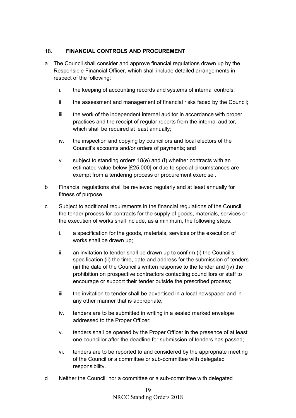# <span id="page-18-0"></span>18. **FINANCIAL CONTROLS AND PROCUREMENT**

- a The Council shall consider and approve financial regulations drawn up by the Responsible Financial Officer, which shall include detailed arrangements in respect of the following:
	- i. the keeping of accounting records and systems of internal controls;
	- ii. the assessment and management of financial risks faced by the Council;
	- iii. the work of the independent internal auditor in accordance with proper practices and the receipt of regular reports from the internal auditor, which shall be required at least annually:
	- iv. the inspection and copying by councillors and local electors of the Council's accounts and/or orders of payments; and
	- v. subject to standing orders 18(e) and (f) whether contracts with an estimated value below [£25,000] or due to special circumstances are exempt from a tendering process or procurement exercise .
- b Financial regulations shall be reviewed regularly and at least annually for fitness of purpose.
- c Subject to additional requirements in the financial regulations of the Council, the tender process for contracts for the supply of goods, materials, services or the execution of works shall include, as a minimum, the following steps:
	- i. a specification for the goods, materials, services or the execution of works shall be drawn up;
	- ii. an invitation to tender shall be drawn up to confirm (i) the Council's specification (ii) the time, date and address for the submission of tenders (iii) the date of the Council's written response to the tender and (iv) the prohibition on prospective contractors contacting councillors or staff to encourage or support their tender outside the prescribed process;
	- iii. the invitation to tender shall be advertised in a local newspaper and in any other manner that is appropriate;
	- iv. tenders are to be submitted in writing in a sealed marked envelope addressed to the Proper Officer;
	- v. tenders shall be opened by the Proper Officer in the presence of at least one councillor after the deadline for submission of tenders has passed;
	- vi. tenders are to be reported to and considered by the appropriate meeting of the Council or a committee or sub-committee with delegated responsibility.
- d Neither the Council, nor a committee or a sub-committee with delegated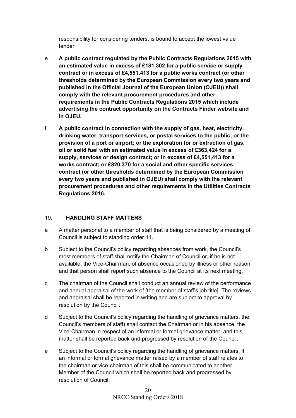responsibility for considering tenders, is bound to accept the lowest value tender.

- e **A public contract regulated by the Public Contracts Regulations 2015 with an estimated value in excess of £181,302 for a public service or supply contract or in excess of £4,551,413 for a public works contract (or other thresholds determined by the European Commission every two years and published in the Official Journal of the European Union (OJEU)) shall comply with the relevant procurement procedures and other requirements in the Public Contracts Regulations 2015 which include advertising the contract opportunity on the Contracts Finder website and in OJEU.**
- f **A public contract in connection with the supply of gas, heat, electricity, drinking water, transport services, or postal services to the public; or the provision of a port or airport; or the exploration for or extraction of gas, oil or solid fuel with an estimated value in excess of £363,424 for a supply, services or design contract; or in excess of £4,551,413 for a works contract; or £820,370 for a social and other specific services contract (or other thresholds determined by the European Commission every two years and published in OJEU) shall comply with the relevant procurement procedures and other requirements in the Utilities Contracts Regulations 2016.**

# <span id="page-19-0"></span>19. **HANDLING STAFF MATTERS**

- a A matter personal to a member of staff that is being considered by a meeting of Council is subject to standing order 11.
- b Subject to the Council's policy regarding absences from work, the Council's most members of staff shall notify the Chairman of Council or, if he is not available, the Vice-Chairman, of absence occasioned by illness or other reason and that person shall report such absence to the Council at its next meeting.
- c The chairman of the Council shall conduct an annual review of the performance and annual appraisal of the work of [the member of staff's job title]. The reviews and appraisal shall be reported in writing and are subject to approval by resolution by the Council.
- d Subject to the Council's policy regarding the handling of grievance matters, the Council's members of staff) shall contact the Chairman or in his absence, the Vice-Chairman in respect of an informal or formal grievance matter, and this matter shall be reported back and progressed by resolution of the Council.
- e Subject to the Council's policy regarding the handling of grievance matters, if an informal or formal grievance matter raised by a member of staff relates to the chairman or vice-chairman of this shall be communicated to another Member of the Council which shall be reported back and progressed by resolution of Council.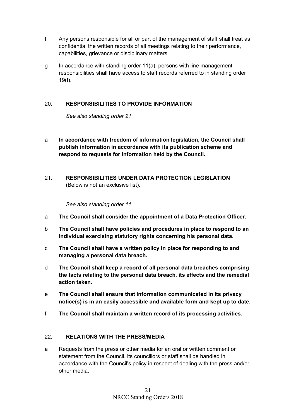- f Any persons responsible for all or part of the management of staff shall treat as confidential the written records of all meetings relating to their performance, capabilities, grievance or disciplinary matters.
- g In accordance with standing order 11(a), persons with line management responsibilities shall have access to staff records referred to in standing order 19(f).

# <span id="page-20-0"></span>20. **RESPONSIBILITIES TO PROVIDE INFORMATION**

*See also standing order 21.*

- a **In accordance with freedom of information legislation, the Council shall publish information in accordance with its publication scheme and respond to requests for information held by the Council.**
- <span id="page-20-1"></span>21. **RESPONSIBILITIES UNDER DATA PROTECTION LEGISLATION**  (Below is not an exclusive list).

*See also standing order 11.*

- a **The Council shall consider the appointment of a Data Protection Officer.**
- b **The Council shall have policies and procedures in place to respond to an individual exercising statutory rights concerning his personal data.**
- c **The Council shall have a written policy in place for responding to and managing a personal data breach.**
- d **The Council shall keep a record of all personal data breaches comprising the facts relating to the personal data breach, its effects and the remedial action taken.**
- e **The Council shall ensure that information communicated in its privacy notice(s) is in an easily accessible and available form and kept up to date.**
- f **The Council shall maintain a written record of its processing activities.**

#### <span id="page-20-2"></span>22. **RELATIONS WITH THE PRESS/MEDIA**

a Requests from the press or other media for an oral or written comment or statement from the Council, its councillors or staff shall be handled in accordance with the Council's policy in respect of dealing with the press and/or other media.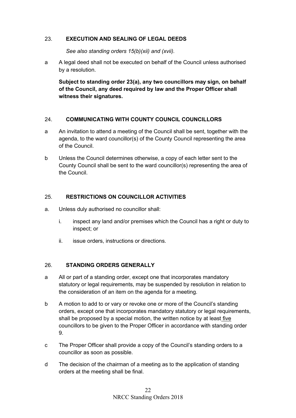#### <span id="page-21-0"></span>23. **EXECUTION AND SEALING OF LEGAL DEEDS**

*See also standing orders 15(b)(xii) and (xvii).*

a A legal deed shall not be executed on behalf of the Council unless authorised by a resolution.

**Subject to standing order 23(a), any two councillors may sign, on behalf of the Council, any deed required by law and the Proper Officer shall witness their signatures.**

# <span id="page-21-1"></span>24. **COMMUNICATING WITH COUNTY COUNCIL COUNCILLORS**

- a An invitation to attend a meeting of the Council shall be sent, together with the agenda, to the ward councillor(s) of the County Council representing the area of the Council.
- b Unless the Council determines otherwise, a copy of each letter sent to the County Council shall be sent to the ward councillor(s) representing the area of the Council.

#### <span id="page-21-2"></span>25. **RESTRICTIONS ON COUNCILLOR ACTIVITIES**

- a. Unless duly authorised no councillor shall:
	- i. inspect any land and/or premises which the Council has a right or duty to inspect; or
	- ii. issue orders, instructions or directions.

#### <span id="page-21-3"></span>26. **STANDING ORDERS GENERALLY**

- a All or part of a standing order, except one that incorporates mandatory statutory or legal requirements, may be suspended by resolution in relation to the consideration of an item on the agenda for a meeting.
- b A motion to add to or vary or revoke one or more of the Council's standing orders, except one that incorporates mandatory statutory or legal requirements, shall be proposed by a special motion, the written notice by at least five councillors to be given to the Proper Officer in accordance with standing order 9.
- c The Proper Officer shall provide a copy of the Council's standing orders to a councillor as soon as possible.
- d The decision of the chairman of a meeting as to the application of standing orders at the meeting shall be final.